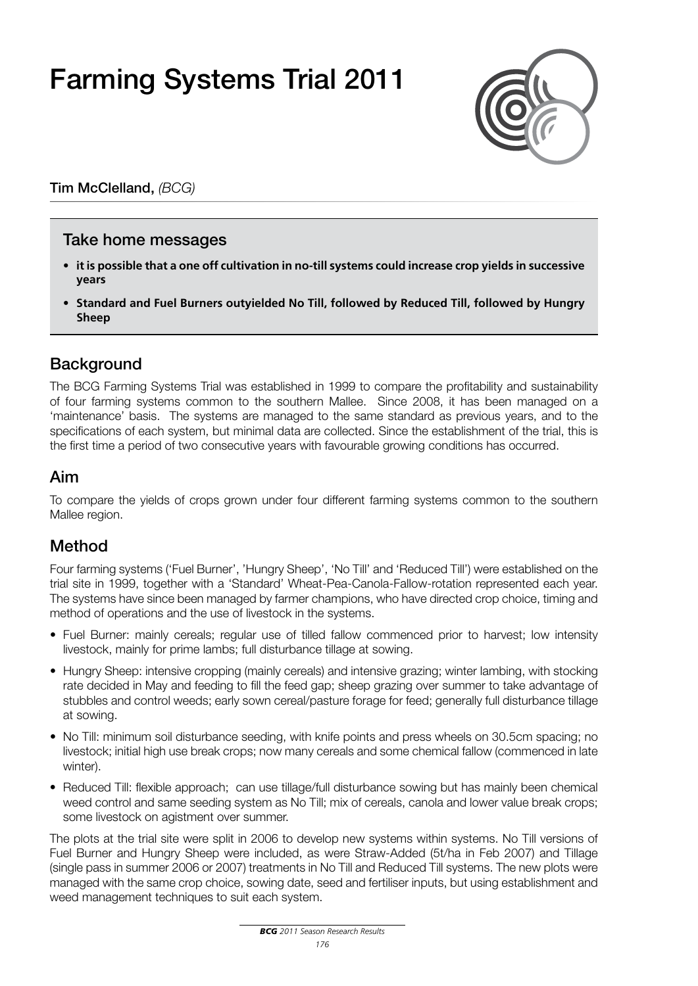# Farming Systems Trial 2011



Tim McClelland, *(BCG)*

### Take home messages

- **s IT IS POSSIBLE THAT A ONE OFF CULTIVATION IN NO
TILL SYSTEMS COULD INCREASE CROP YIELDS IN SUCCESSIVE YEARS**
- **Standard and Fuel Burners outvielded No Till, followed by Reduced Till, followed by Hungry Sheep**

# **Background**

The BCG Farming Systems Trial was established in 1999 to compare the profitability and sustainability of four farming systems common to the southern Mallee. Since 2008, it has been managed on a 'maintenance' basis. The systems are managed to the same standard as previous years, and to the specifications of each system, but minimal data are collected. Since the establishment of the trial, this is the first time a period of two consecutive years with favourable growing conditions has occurred.

## Aim

To compare the yields of crops grown under four different farming systems common to the southern Mallee region.

# Method

Four farming systems ('Fuel Burner', 'Hungry Sheep', 'No Till' and 'Reduced Till') were established on the trial site in 1999, together with a 'Standard' Wheat-Pea-Canola-Fallow-rotation represented each year. The systems have since been managed by farmer champions, who have directed crop choice, timing and method of operations and the use of livestock in the systems.

- Fuel Burner: mainly cereals; regular use of tilled fallow commenced prior to harvest; low intensity livestock, mainly for prime lambs; full disturbance tillage at sowing.
- Hungry Sheep: intensive cropping (mainly cereals) and intensive grazing; winter lambing, with stocking rate decided in May and feeding to fill the feed gap; sheep grazing over summer to take advantage of stubbles and control weeds; early sown cereal/pasture forage for feed; generally full disturbance tillage at sowing.
- No Till: minimum soil disturbance seeding, with knife points and press wheels on 30.5cm spacing; no livestock; initial high use break crops; now many cereals and some chemical fallow (commenced in late winter).
- Reduced Till: flexible approach; can use tillage/full disturbance sowing but has mainly been chemical weed control and same seeding system as No Till; mix of cereals, canola and lower value break crops; some livestock on agistment over summer.

The plots at the trial site were split in 2006 to develop new systems within systems. No Till versions of Fuel Burner and Hungry Sheep were included, as were Straw-Added (5t/ha in Feb 2007) and Tillage (single pass in summer 2006 or 2007) treatments in No Till and Reduced Till systems. The new plots were managed with the same crop choice, sowing date, seed and fertiliser inputs, but using establishment and weed management techniques to suit each system.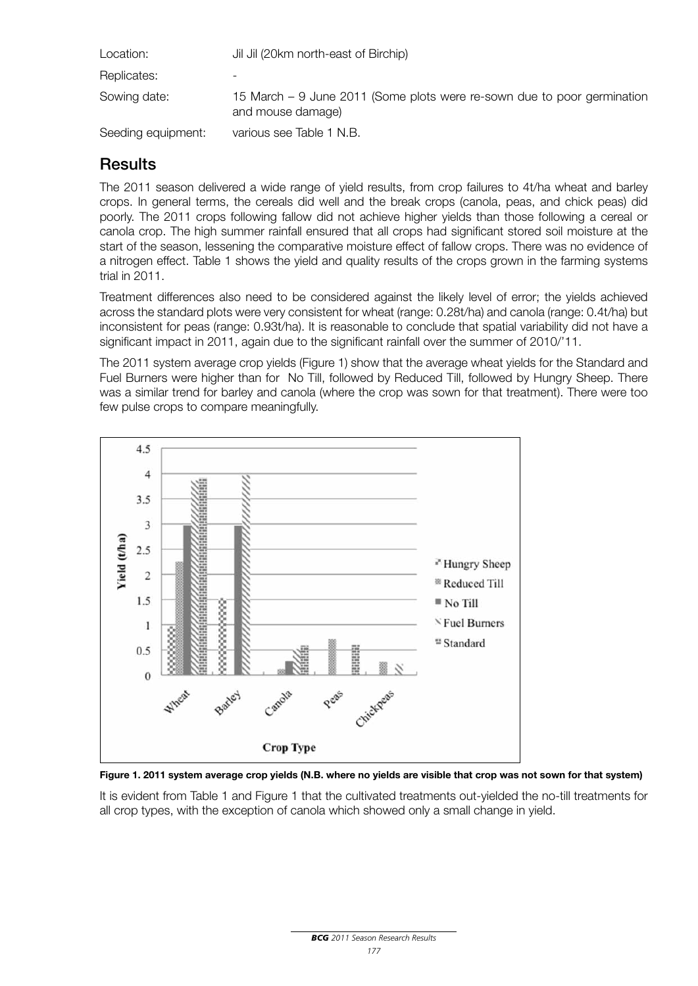| Location:          | Jil Jil (20km north-east of Birchip)                                                         |
|--------------------|----------------------------------------------------------------------------------------------|
| Replicates:        | $\overline{\phantom{0}}$                                                                     |
| Sowing date:       | 15 March – 9 June 2011 (Some plots were re-sown due to poor germination<br>and mouse damage) |
| Seeding equipment: | various see Table 1 N.B.                                                                     |

## **Results**

The 2011 season delivered a wide range of yield results, from crop failures to 4t/ha wheat and barley crops. In general terms, the cereals did well and the break crops (canola, peas, and chick peas) did poorly. The 2011 crops following fallow did not achieve higher yields than those following a cereal or canola crop. The high summer rainfall ensured that all crops had significant stored soil moisture at the start of the season, lessening the comparative moisture effect of fallow crops. There was no evidence of a nitrogen effect. Table 1 shows the yield and quality results of the crops grown in the farming systems trial in 2011.

Treatment differences also need to be considered against the likely level of error; the yields achieved across the standard plots were very consistent for wheat (range: 0.28t/ha) and canola (range: 0.4t/ha) but inconsistent for peas (range: 0.93t/ha). It is reasonable to conclude that spatial variability did not have a significant impact in 2011, again due to the significant rainfall over the summer of 2010/'11.

The 2011 system average crop yields (Figure 1) show that the average wheat yields for the Standard and Fuel Burners were higher than for No Till, followed by Reduced Till, followed by Hungry Sheep. There was a similar trend for barley and canola (where the crop was sown for that treatment). There were too few pulse crops to compare meaningfully.





It is evident from Table 1 and Figure 1 that the cultivated treatments out-yielded the no-till treatments for all crop types, with the exception of canola which showed only a small change in yield.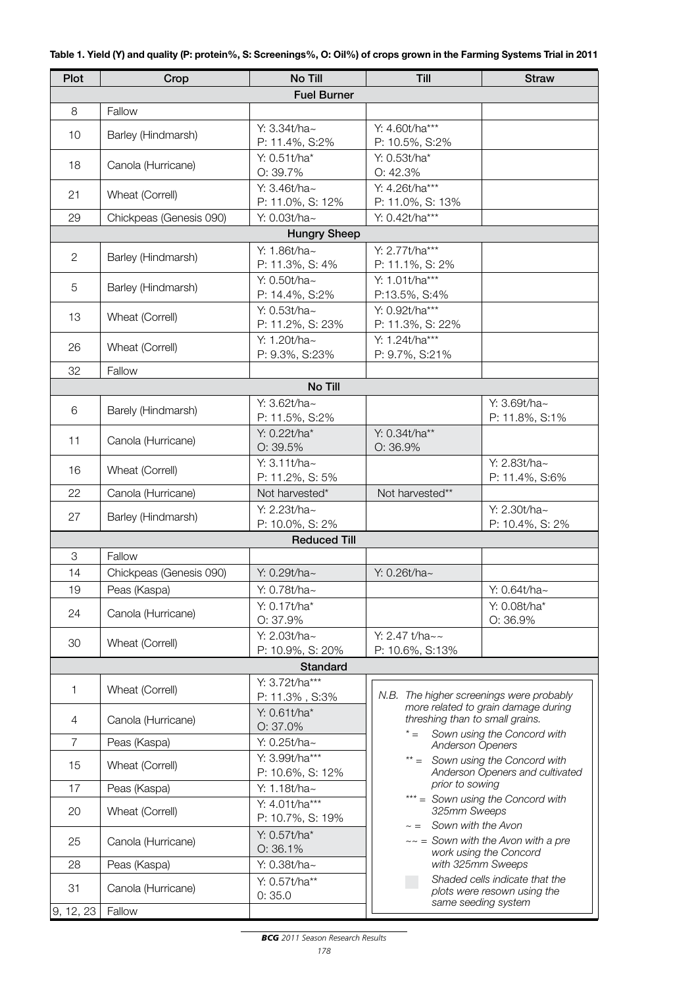#### **Table 1. Yield (Y) and quality (P: protein%, S: Screenings%, O: Oil%) of crops grown in the Farming Systems Trial in 2011**

| Plot                | Crop                    | No Till                            | Till                                                                                 | <b>Straw</b>                                                       |  |  |
|---------------------|-------------------------|------------------------------------|--------------------------------------------------------------------------------------|--------------------------------------------------------------------|--|--|
| <b>Fuel Burner</b>  |                         |                                    |                                                                                      |                                                                    |  |  |
| 8                   | Fallow                  |                                    |                                                                                      |                                                                    |  |  |
| 10                  | Barley (Hindmarsh)      | Y: 3.34t/ha~<br>P: 11.4%, S:2%     | Y: 4.60t/ha***<br>P: 10.5%, S:2%                                                     |                                                                    |  |  |
|                     |                         | $Y: 0.51t/ha*$                     | Y: 0.53t/ha*                                                                         |                                                                    |  |  |
| 18                  | Canola (Hurricane)      | O: 39.7%                           | O: 42.3%                                                                             |                                                                    |  |  |
| 21                  | Wheat (Correll)         | Y: 3.46t/ha~                       | Y: 4.26t/ha***                                                                       |                                                                    |  |  |
| 29                  | Chickpeas (Genesis 090) | P: 11.0%, S: 12%<br>Y: 0.03t/ha~   | P: 11.0%, S: 13%<br>Y: 0.42t/ha***                                                   |                                                                    |  |  |
|                     | <b>Hungry Sheep</b>     |                                    |                                                                                      |                                                                    |  |  |
| $\overline{2}$      | Barley (Hindmarsh)      | Y: 1.86t/ha~<br>P: 11.3%, S: 4%    | Y: 2.77t/ha***<br>P: 11.1%, S: 2%                                                    |                                                                    |  |  |
| 5                   | Barley (Hindmarsh)      | Y: 0.50t/ha~<br>P: 14.4%, S:2%     | Y: 1.01t/ha***<br>P:13.5%, S:4%                                                      |                                                                    |  |  |
| 13                  | Wheat (Correll)         | Y: 0.53t/ha~<br>P: 11.2%, S: 23%   | Y: 0.92t/ha***<br>P: 11.3%, S: 22%                                                   |                                                                    |  |  |
| 26                  | Wheat (Correll)         | Y: 1.20t/ha~<br>P: 9.3%, S:23%     | Y: 1.24t/ha***<br>P: 9.7%, S:21%                                                     |                                                                    |  |  |
| 32                  | Fallow                  |                                    |                                                                                      |                                                                    |  |  |
|                     |                         | No Till                            |                                                                                      |                                                                    |  |  |
| 6                   | Barely (Hindmarsh)      | Y: 3.62t/ha~<br>P: 11.5%, S:2%     |                                                                                      | Y: 3.69t/ha~<br>P: 11.8%, S:1%                                     |  |  |
| 11                  | Canola (Hurricane)      | Y: 0.22t/ha*<br>O: 39.5%           | Y: 0.34t/ha**<br>O: 36.9%                                                            |                                                                    |  |  |
| 16                  | Wheat (Correll)         | Y: 3.11t/ha~<br>P: 11.2%, S: 5%    |                                                                                      | Y: $2.83t/ha~$<br>P: 11.4%, S:6%                                   |  |  |
| 22                  | Canola (Hurricane)      | Not harvested*                     | Not harvested**                                                                      |                                                                    |  |  |
| 27                  | Barley (Hindmarsh)      | Y: 2.23t/ha~<br>P: 10.0%, S: 2%    |                                                                                      | Y: 2.30t/ha~<br>P: 10.4%, S: 2%                                    |  |  |
| <b>Reduced Till</b> |                         |                                    |                                                                                      |                                                                    |  |  |
| 3                   | Fallow                  |                                    |                                                                                      |                                                                    |  |  |
| 14                  | Chickpeas (Genesis 090) | Y: 0.29t/ha~                       | Y: 0.26t/ha~                                                                         |                                                                    |  |  |
| 19                  | Peas (Kaspa)            | Y: 0.78t/ha~                       |                                                                                      | Y: $0.64t/ha~$                                                     |  |  |
| 24                  | Canola (Hurricane)      | $Y: 0.17t/ha*$<br>O: 37.9%         |                                                                                      | Y: 0.08t/ha*<br>O: 36.9%                                           |  |  |
| 30                  | Wheat (Correll)         | Y: 2.03t/ha~<br>P: 10.9%, S: 20%   | Y: 2.47 t/ha~~<br>P: 10.6%, S:13%                                                    |                                                                    |  |  |
| <b>Standard</b>     |                         |                                    |                                                                                      |                                                                    |  |  |
| 1                   | Wheat (Correll)         | Y: 3.72t/ha***<br>P: 11.3%, S:3%   | N.B. The higher screenings were probably                                             |                                                                    |  |  |
| 4                   | Canola (Hurricane)      | Y: 0.61t/ha*<br>O: 37.0%           | threshing than to small grains.<br>$x^* =$                                           | more related to grain damage during<br>Sown using the Concord with |  |  |
| 7                   | Peas (Kaspa)            | Y: 0.25t/ha~                       | <b>Anderson Openers</b>                                                              |                                                                    |  |  |
| 15                  | Wheat (Correll)         | Y: 3.99t/ha***<br>P: 10.6%, S: 12% | ** = Sown using the Concord with<br>Anderson Openers and cultivated                  |                                                                    |  |  |
| 17                  | Peas (Kaspa)            | Y: 1.18t/ha~                       | prior to sowing                                                                      |                                                                    |  |  |
| 20                  | Wheat (Correll)         | Y: 4.01t/ha***<br>P: 10.7%, S: 19% | *** = Sown using the Concord with<br>325mm Sweeps<br>Sown with the Avon              |                                                                    |  |  |
| 25                  | Canola (Hurricane)      | Y: 0.57t/ha*<br>O: 36.1%           | $\sim$ = Sown with the Avon with a pre<br>work using the Concord                     |                                                                    |  |  |
| 28                  | Peas (Kaspa)            | Y: 0.38t/ha~                       | with 325mm Sweeps                                                                    |                                                                    |  |  |
| 31                  | Canola (Hurricane)      | Y: 0.57t/ha**<br>0:35.0            | Shaded cells indicate that the<br>plots were resown using the<br>same seeding system |                                                                    |  |  |
| 9, 12, 23           | Fallow                  |                                    |                                                                                      |                                                                    |  |  |

*BCG 2011 Season Research Results*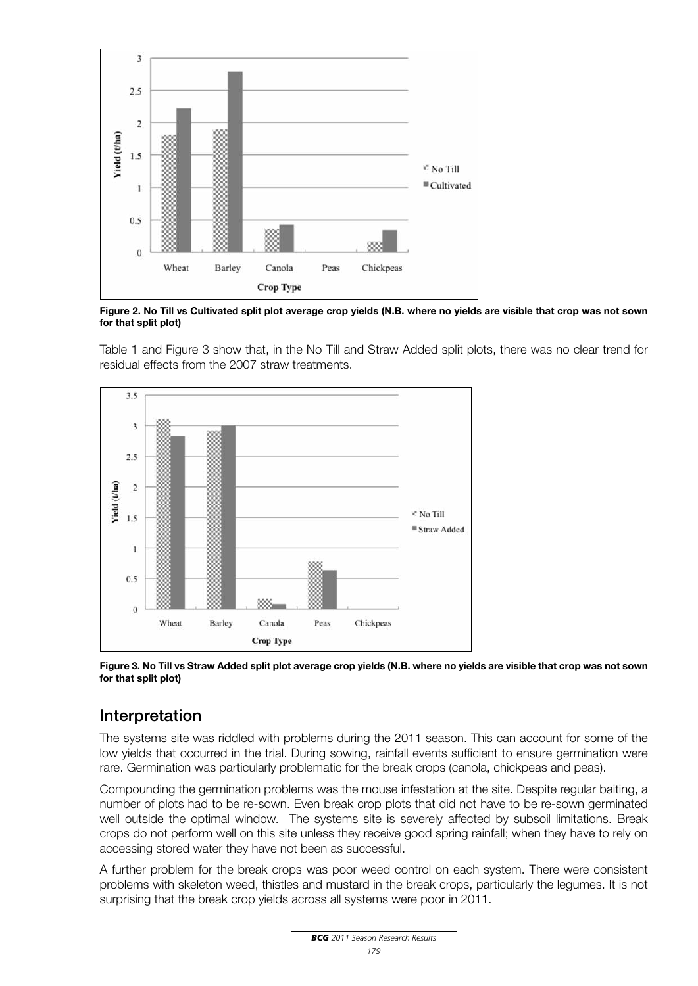

**Figure 2. No Till vs Cultivated split plot average crop yields (N.B. where no yields are visible that crop was not sown for that split plot)** 

Table 1 and Figure 3 show that, in the No Till and Straw Added split plots, there was no clear trend for residual effects from the 2007 straw treatments.



**Figure 3. No Till vs Straw Added split plot average crop yields (N.B. where no yields are visible that crop was not sown for that split plot)** 

## Interpretation

The systems site was riddled with problems during the 2011 season. This can account for some of the low yields that occurred in the trial. During sowing, rainfall events sufficient to ensure germination were rare. Germination was particularly problematic for the break crops (canola, chickpeas and peas).

Compounding the germination problems was the mouse infestation at the site. Despite regular baiting, a number of plots had to be re-sown. Even break crop plots that did not have to be re-sown germinated well outside the optimal window. The systems site is severely affected by subsoil limitations. Break crops do not perform well on this site unless they receive good spring rainfall; when they have to rely on accessing stored water they have not been as successful.

A further problem for the break crops was poor weed control on each system. There were consistent problems with skeleton weed, thistles and mustard in the break crops, particularly the legumes. It is not surprising that the break crop yields across all systems were poor in 2011.